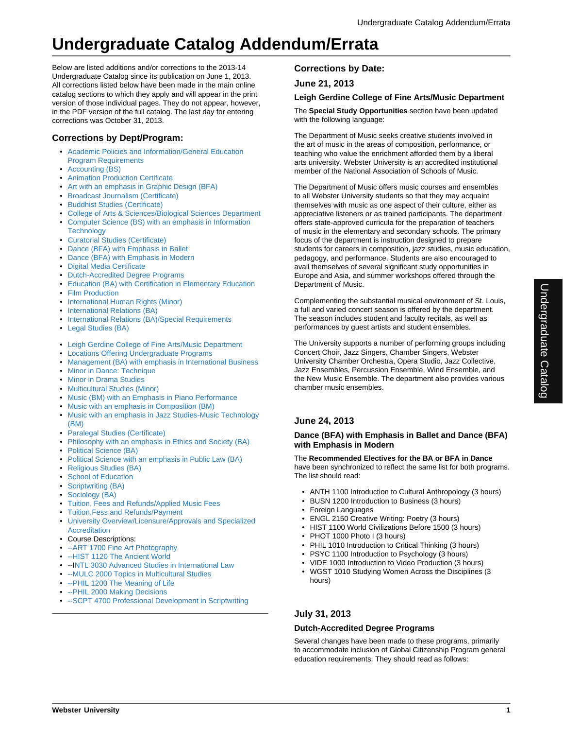Below are listed additions and/or corrections to the 2013-14 Undergraduate Catalog since its publication on June 1, 2013. All corrections listed below have been made in the main online catalog sections to which they apply and will appear in the print version of those individual pages. They do not appear, however, in the PDF version of the full catalog. The last day for entering corrections was October 31, 2013.

# **Corrections by Dept/Program:**

- Academic Policies and Information/General Education Program Requirements
- Accounting (BS)
- Animation Production Certificate
- Art with an emphasis in Graphic Design (BFA)
- Broadcast Journalism (Certificate)
- Buddhist Studies (Certificate)
- College of Arts & Sciences/Biological Sciences Department
- Computer Science (BS) with an emphasis in Information **Technology**
- Curatorial Studies (Certificate)
- Dance (BFA) with Emphasis in Ballet
- Dance (BFA) with Emphasis in Modern
- Digital Media Certificate
- Dutch-Accredited Degree Programs
- Education (BA) with Certification in Elementary Education
- Film Production
- International Human Rights (Minor)
- International Relations (BA)
- International Relations (BA)/Special Requirements
- Legal Studies (BA)
- Leigh Gerdine College of Fine Arts/Music Department
- Locations Offering Undergraduate Programs
- Management (BA) with emphasis in International Business
- Minor in Dance: Technique
- Minor in Drama Studies
- Multicultural Studies (Minor)
- Music (BM) with an Emphasis in Piano Performance
- Music with an emphasis in Composition (BM)
- Music with an emphasis in Jazz Studies-Music Technology (BM)
- Paralegal Studies (Certificate)
- Philosophy with an emphasis in Ethics and Society (BA)
- Political Science (BA)
- Political Science with an emphasis in Public Law (BA)
- Religious Studies (BA)
- School of Education
- Scriptwriting (BA)
- Sociology (BA)
- Tuition, Fees and Refunds/Applied Music Fees
- Tuition,Fess and Refunds/Payment
- University Overview/Licensure/Approvals and Specialized Accreditation
- Course Descriptions:
- --ART 1700 Fine Art Photography
- --HIST 1120 The Ancient World
- --INTL 3030 Advanced Studies in International Law
- --MULC 2000 Topics in Multicultural Studies
- --PHIL 1200 The Meaning of Life
- --PHIL 2000 Making Decisions
- --SCPT 4700 Professional Development in Scriptwriting

# **Corrections by Date:**

# **June 21, 2013**

# **Leigh Gerdine College of Fine Arts/Music Department**

The **Special Study Opportunities** section have been updated with the following language:

The Department of Music seeks creative students involved in the art of music in the areas of composition, performance, or teaching who value the enrichment afforded them by a liberal arts university. Webster University is an accredited institutional member of the National Association of Schools of Music.

The Department of Music offers music courses and ensembles to all Webster University students so that they may acquaint themselves with music as one aspect of their culture, either as appreciative listeners or as trained participants. The department offers state-approved curricula for the preparation of teachers of music in the elementary and secondary schools. The primary focus of the department is instruction designed to prepare students for careers in composition, jazz studies, music education, pedagogy, and performance. Students are also encouraged to avail themselves of several significant study opportunities in Europe and Asia, and summer workshops offered through the Department of Music.

Complementing the substantial musical environment of St. Louis, a full and varied concert season is offered by the department. The season includes student and faculty recitals, as well as performances by guest artists and student ensembles.

The University supports a number of performing groups including Concert Choir, Jazz Singers, Chamber Singers, Webster University Chamber Orchestra, Opera Studio, Jazz Collective, Jazz Ensembles, Percussion Ensemble, Wind Ensemble, and the New Music Ensemble. The department also provides various chamber music ensembles.

# **June 24, 2013**

# **Dance (BFA) with Emphasis in Ballet and Dance (BFA) with Emphasis in Modern**

#### The **Recommended Electives for the BA or BFA in Dance**

have been synchronized to reflect the same list for both programs. The list should read:

- ANTH 1100 Introduction to Cultural Anthropology (3 hours)
- BUSN 1200 Introduction to Business (3 hours)
- Foreign Languages
- ENGL 2150 Creative Writing: Poetry (3 hours)
- HIST 1100 World Civilizations Before 1500 (3 hours)
- PHOT 1000 Photo I (3 hours)
- PHIL 1010 Introduction to Critical Thinking (3 hours)
- PSYC 1100 Introduction to Psychology (3 hours)
- VIDE 1000 Introduction to Video Production (3 hours) • WGST 1010 Studying Women Across the Disciplines (3 hours)

# **July 31, 2013**

# **Dutch-Accredited Degree Programs**

Several changes have been made to these programs, primarily to accommodate inclusion of Global Citizenship Program general education requirements. They should read as follows: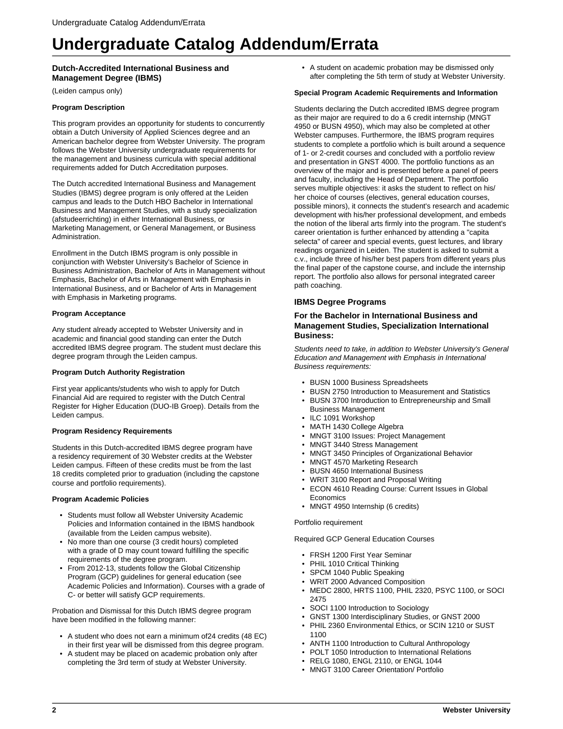# **Dutch-Accredited International Business and Management Degree (IBMS)**

(Leiden campus only)

#### **Program Description**

This program provides an opportunity for students to concurrently obtain a Dutch University of Applied Sciences degree and an American bachelor degree from Webster University. The program follows the Webster University undergraduate requirements for the management and business curricula with special additional requirements added for Dutch Accreditation purposes.

The Dutch accredited International Business and Management Studies (IBMS) degree program is only offered at the Leiden campus and leads to the Dutch HBO Bachelor in International Business and Management Studies, with a study specialization (afstudeerrichting) in either International Business, or Marketing Management, or General Management, or Business Administration.

Enrollment in the Dutch IBMS program is only possible in conjunction with Webster University's Bachelor of Science in Business Administration, Bachelor of Arts in Management without Emphasis, Bachelor of Arts in Management with Emphasis in International Business, and or Bachelor of Arts in Management with Emphasis in Marketing programs.

### **Program Acceptance**

Any student already accepted to Webster University and in academic and financial good standing can enter the Dutch accredited IBMS degree program. The student must declare this degree program through the Leiden campus.

#### **Program Dutch Authority Registration**

First year applicants/students who wish to apply for Dutch Financial Aid are required to register with the Dutch Central Register for Higher Education (DUO-IB Groep). Details from the Leiden campus.

#### **Program Residency Requirements**

Students in this Dutch-accredited IBMS degree program have a residency requirement of 30 Webster credits at the Webster Leiden campus. Fifteen of these credits must be from the last 18 credits completed prior to graduation (including the capstone course and portfolio requirements).

#### **Program Academic Policies**

- Students must follow all Webster University Academic Policies and Information contained in the IBMS handbook (available from the Leiden campus website).
- No more than one course (3 credit hours) completed with a grade of D may count toward fulfilling the specific requirements of the degree program.
- From 2012-13, students follow the Global Citizenship Program (GCP) guidelines for general education (see Academic Policies and Information). Courses with a grade of C- or better will satisfy GCP requirements.

Probation and Dismissal for this Dutch IBMS degree program have been modified in the following manner:

- A student who does not earn a minimum of24 credits (48 EC) in their first year will be dismissed from this degree program.
- A student may be placed on academic probation only after completing the 3rd term of study at Webster University.

• A student on academic probation may be dismissed only after completing the 5th term of study at Webster University.

#### **Special Program Academic Requirements and Information**

Students declaring the Dutch accredited IBMS degree program as their major are required to do a 6 credit internship (MNGT 4950 or BUSN 4950), which may also be completed at other Webster campuses. Furthermore, the IBMS program requires students to complete a portfolio which is built around a sequence of 1- or 2-credit courses and concluded with a portfolio review and presentation in GNST 4000. The portfolio functions as an overview of the major and is presented before a panel of peers and faculty, including the Head of Department. The portfolio serves multiple objectives: it asks the student to reflect on his/ her choice of courses (electives, general education courses, possible minors), it connects the student's research and academic development with his/her professional development, and embeds the notion of the liberal arts firmly into the program. The student's career orientation is further enhanced by attending a "capita selecta" of career and special events, guest lectures, and library readings organized in Leiden. The student is asked to submit a c.v., include three of his/her best papers from different years plus the final paper of the capstone course, and include the internship report. The portfolio also allows for personal integrated career path coaching.

# **IBMS Degree Programs**

## **For the Bachelor in International Business and Management Studies, Specialization International Business:**

Students need to take, in addition to Webster University's General Education and Management with Emphasis in International Business requirements:

- BUSN 1000 Business Spreadsheets
- BUSN 2750 Introduction to Measurement and Statistics
- BUSN 3700 Introduction to Entrepreneurship and Small Business Management
- ILC 1091 Workshop
- MATH 1430 College Algebra
- MNGT 3100 Issues: Project Management
- MNGT 3440 Stress Management
- MNGT 3450 Principles of Organizational Behavior
- MNGT 4570 Marketing Research
- BUSN 4650 International Business
- WRIT 3100 Report and Proposal Writing
- ECON 4610 Reading Course: Current Issues in Global **Economics**
- MNGT 4950 Internship (6 credits)

#### Portfolio requirement

Required GCP General Education Courses

- FRSH 1200 First Year Seminar
- PHIL 1010 Critical Thinking
- SPCM 1040 Public Speaking
- WRIT 2000 Advanced Composition
- MEDC 2800, HRTS 1100, PHIL 2320, PSYC 1100, or SOCI 2475
- SOCI 1100 Introduction to Sociology
- GNST 1300 Interdisciplinary Studies, or GNST 2000
- PHIL 2360 Environmental Ethics, or SCIN 1210 or SUST 1100
- ANTH 1100 Introduction to Cultural Anthropology
- POLT 1050 Introduction to International Relations
- RELG 1080, ENGL 2110, or ENGL 1044
- MNGT 3100 Career Orientation/ Portfolio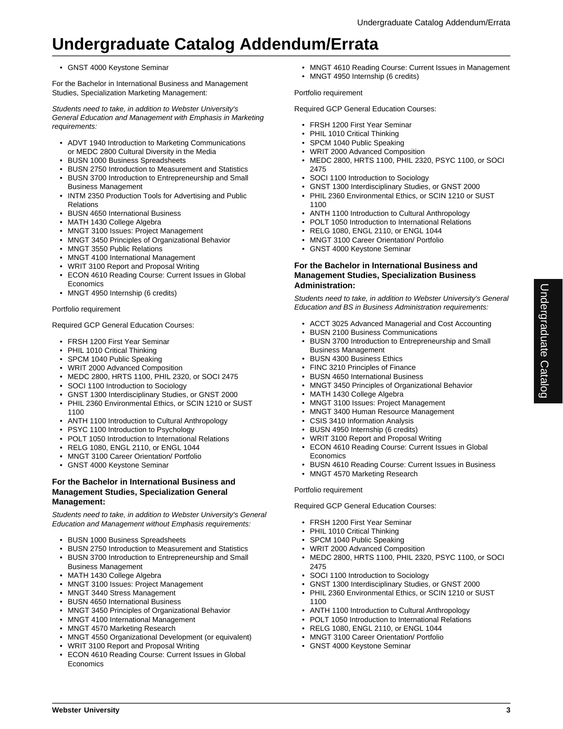# • GNST 4000 Keystone Seminar

For the Bachelor in International Business and Management Studies, Specialization Marketing Management:

Students need to take, in addition to Webster University's General Education and Management with Emphasis in Marketing requirements:

- ADVT 1940 Introduction to Marketing Communications or MEDC 2800 Cultural Diversity in the Media
- BUSN 1000 Business Spreadsheets
- BUSN 2750 Introduction to Measurement and Statistics
- BUSN 3700 Introduction to Entrepreneurship and Small Business Management
- INTM 2350 Production Tools for Advertising and Public Relations
- BUSN 4650 International Business
- MATH 1430 College Algebra
- MNGT 3100 Issues: Project Management
- MNGT 3450 Principles of Organizational Behavior
- MNGT 3550 Public Relations
- MNGT 4100 International Management
- WRIT 3100 Report and Proposal Writing
- ECON 4610 Reading Course: Current Issues in Global **Economics**
- MNGT 4950 Internship (6 credits)

# Portfolio requirement

Required GCP General Education Courses:

- FRSH 1200 First Year Seminar
- PHIL 1010 Critical Thinking
- SPCM 1040 Public Speaking
- WRIT 2000 Advanced Composition
- MEDC 2800, HRTS 1100, PHIL 2320, or SOCI 2475
- SOCI 1100 Introduction to Sociology
- GNST 1300 Interdisciplinary Studies, or GNST 2000
- PHIL 2360 Environmental Ethics, or SCIN 1210 or SUST 1100
- ANTH 1100 Introduction to Cultural Anthropology
- PSYC 1100 Introduction to Psychology
- POLT 1050 Introduction to International Relations
- RELG 1080, ENGL 2110, or ENGL 1044
- MNGT 3100 Career Orientation/ Portfolio
- GNST 4000 Keystone Seminar

## **For the Bachelor in International Business and Management Studies, Specialization General Management:**

Students need to take, in addition to Webster University's General Education and Management without Emphasis requirements:

- BUSN 1000 Business Spreadsheets
- BUSN 2750 Introduction to Measurement and Statistics
- BUSN 3700 Introduction to Entrepreneurship and Small Business Management
- MATH 1430 College Algebra
- MNGT 3100 Issues: Project Management
- MNGT 3440 Stress Management
- BUSN 4650 International Business
- MNGT 3450 Principles of Organizational Behavior
- MNGT 4100 International Management
- MNGT 4570 Marketing Research
- MNGT 4550 Organizational Development (or equivalent)
- WRIT 3100 Report and Proposal Writing
- ECON 4610 Reading Course: Current Issues in Global Economics

• MNGT 4610 Reading Course: Current Issues in Management • MNGT 4950 Internship (6 credits)

### Portfolio requirement

Required GCP General Education Courses:

- FRSH 1200 First Year Seminar
- PHIL 1010 Critical Thinking
- SPCM 1040 Public Speaking
- WRIT 2000 Advanced Composition
- MEDC 2800, HRTS 1100, PHIL 2320, PSYC 1100, or SOCI 2475
- SOCI 1100 Introduction to Sociology
- GNST 1300 Interdisciplinary Studies, or GNST 2000
- PHIL 2360 Environmental Ethics, or SCIN 1210 or SUST 1100
- ANTH 1100 Introduction to Cultural Anthropology
- POLT 1050 Introduction to International Relations
- RELG 1080, ENGL 2110, or ENGL 1044
- MNGT 3100 Career Orientation/ Portfolio
- GNST 4000 Keystone Seminar

# **For the Bachelor in International Business and Management Studies, Specialization Business Administration:**

Students need to take, in addition to Webster University's General Education and BS in Business Administration requirements:

- ACCT 3025 Advanced Managerial and Cost Accounting
- BUSN 2100 Business Communications
- BUSN 3700 Introduction to Entrepreneurship and Small Business Management

Undergraduate Catalog

Undergraduate Catalog

- BUSN 4300 Business Ethics
- FINC 3210 Principles of Finance
- BUSN 4650 International Business
- MNGT 3450 Principles of Organizational Behavior
- MATH 1430 College Algebra
- MNGT 3100 Issues: Project Management
- MNGT 3400 Human Resource Management
- CSIS 3410 Information Analysis
- BUSN 4950 Internship (6 credits)
- WRIT 3100 Report and Proposal Writing
- ECON 4610 Reading Course: Current Issues in Global **Economics**
- BUSN 4610 Reading Course: Current Issues in Business
- MNGT 4570 Marketing Research

# Portfolio requirement

Required GCP General Education Courses:

- FRSH 1200 First Year Seminar
- PHIL 1010 Critical Thinking
- SPCM 1040 Public Speaking
- WRIT 2000 Advanced Composition
- MEDC 2800, HRTS 1100, PHIL 2320, PSYC 1100, or SOCI 2475
- SOCI 1100 Introduction to Sociology
- GNST 1300 Interdisciplinary Studies, or GNST 2000
- PHIL 2360 Environmental Ethics, or SCIN 1210 or SUST 1100
- ANTH 1100 Introduction to Cultural Anthropology
- POLT 1050 Introduction to International Relations
- RELG 1080, ENGL 2110, or ENGL 1044
- MNGT 3100 Career Orientation/ Portfolio
- GNST 4000 Keystone Seminar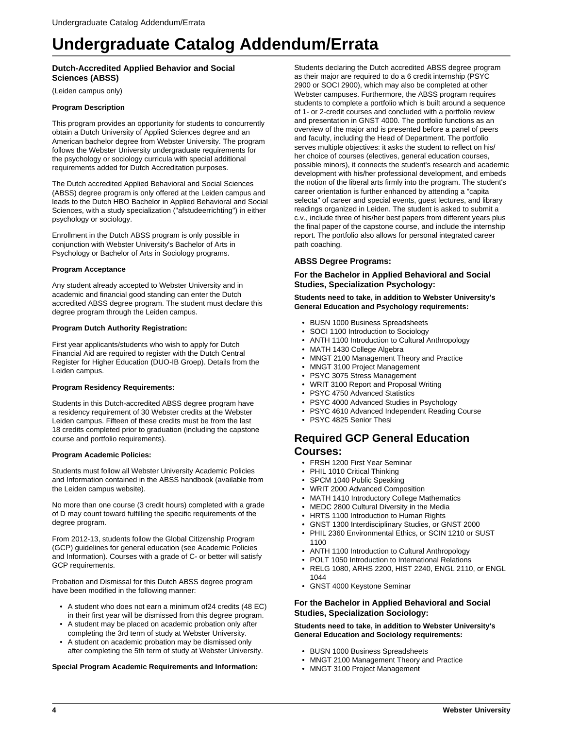# **Dutch-Accredited Applied Behavior and Social Sciences (ABSS)**

(Leiden campus only)

#### **Program Description**

This program provides an opportunity for students to concurrently obtain a Dutch University of Applied Sciences degree and an American bachelor degree from Webster University. The program follows the Webster University undergraduate requirements for the psychology or sociology curricula with special additional requirements added for Dutch Accreditation purposes.

The Dutch accredited Applied Behavioral and Social Sciences (ABSS) degree program is only offered at the Leiden campus and leads to the Dutch HBO Bachelor in Applied Behavioral and Social Sciences, with a study specialization ("afstudeerrichting") in either psychology or sociology.

Enrollment in the Dutch ABSS program is only possible in conjunction with Webster University's Bachelor of Arts in Psychology or Bachelor of Arts in Sociology programs.

# **Program Acceptance**

Any student already accepted to Webster University and in academic and financial good standing can enter the Dutch accredited ABSS degree program. The student must declare this degree program through the Leiden campus.

## **Program Dutch Authority Registration:**

First year applicants/students who wish to apply for Dutch Financial Aid are required to register with the Dutch Central Register for Higher Education (DUO-IB Groep). Details from the Leiden campus.

#### **Program Residency Requirements:**

Students in this Dutch-accredited ABSS degree program have a residency requirement of 30 Webster credits at the Webster Leiden campus. Fifteen of these credits must be from the last 18 credits completed prior to graduation (including the capstone course and portfolio requirements).

#### **Program Academic Policies:**

Students must follow all Webster University Academic Policies and Information contained in the ABSS handbook (available from the Leiden campus website).

No more than one course (3 credit hours) completed with a grade of D may count toward fulfilling the specific requirements of the degree program.

From 2012-13, students follow the Global Citizenship Program (GCP) guidelines for general education (see Academic Policies and Information). Courses with a grade of C- or better will satisfy GCP requirements.

Probation and Dismissal for this Dutch ABSS degree program have been modified in the following manner:

- A student who does not earn a minimum of24 credits (48 EC) in their first year will be dismissed from this degree program.
- A student may be placed on academic probation only after completing the 3rd term of study at Webster University.
- A student on academic probation may be dismissed only after completing the 5th term of study at Webster University.

**Special Program Academic Requirements and Information:**

Students declaring the Dutch accredited ABSS degree program as their major are required to do a 6 credit internship (PSYC 2900 or SOCI 2900), which may also be completed at other Webster campuses. Furthermore, the ABSS program requires students to complete a portfolio which is built around a sequence of 1- or 2-credit courses and concluded with a portfolio review and presentation in GNST 4000. The portfolio functions as an overview of the major and is presented before a panel of peers and faculty, including the Head of Department. The portfolio serves multiple objectives: it asks the student to reflect on his/ her choice of courses (electives, general education courses, possible minors), it connects the student's research and academic development with his/her professional development, and embeds the notion of the liberal arts firmly into the program. The student's career orientation is further enhanced by attending a "capita selecta" of career and special events, guest lectures, and library readings organized in Leiden. The student is asked to submit a c.v., include three of his/her best papers from different years plus the final paper of the capstone course, and include the internship report. The portfolio also allows for personal integrated career path coaching.

# **ABSS Degree Programs:**

# **For the Bachelor in Applied Behavioral and Social Studies, Specialization Psychology:**

**Students need to take, in addition to Webster University's General Education and Psychology requirements:**

- BUSN 1000 Business Spreadsheets
- SOCI 1100 Introduction to Sociology
- ANTH 1100 Introduction to Cultural Anthropology
- MATH 1430 College Algebra
- MNGT 2100 Management Theory and Practice
- MNGT 3100 Project Management
- PSYC 3075 Stress Management
- WRIT 3100 Report and Proposal Writing
- PSYC 4750 Advanced Statistics
- PSYC 4000 Advanced Studies in Psychology
- PSYC 4610 Advanced Independent Reading Course
- PSYC 4825 Senior Thesi

# **Required GCP General Education Courses:**

- FRSH 1200 First Year Seminar
- PHIL 1010 Critical Thinking
- SPCM 1040 Public Speaking
- WRIT 2000 Advanced Composition
- MATH 1410 Introductory College Mathematics
- MEDC 2800 Cultural Diversity in the Media
- HRTS 1100 Introduction to Human Rights
- GNST 1300 Interdisciplinary Studies, or GNST 2000
- PHIL 2360 Environmental Ethics, or SCIN 1210 or SUST 1100
- ANTH 1100 Introduction to Cultural Anthropology
- POLT 1050 Introduction to International Relations
- RELG 1080, ARHS 2200, HIST 2240, ENGL 2110, or ENGL 1044
- GNST 4000 Keystone Seminar

#### **For the Bachelor in Applied Behavioral and Social Studies, Specialization Sociology:**

**Students need to take, in addition to Webster University's General Education and Sociology requirements:**

- BUSN 1000 Business Spreadsheets
- MNGT 2100 Management Theory and Practice
- MNGT 3100 Project Management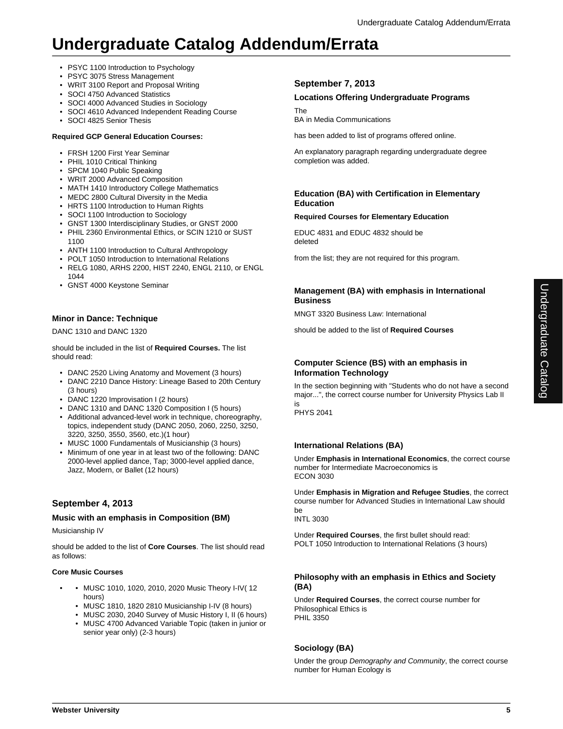- PSYC 1100 Introduction to Psychology
- PSYC 3075 Stress Management
- WRIT 3100 Report and Proposal Writing
- SOCI 4750 Advanced Statistics
- SOCI 4000 Advanced Studies in Sociology
- SOCI 4610 Advanced Independent Reading Course
- SOCI 4825 Senior Thesis

# **Required GCP General Education Courses:**

- FRSH 1200 First Year Seminar
- PHIL 1010 Critical Thinking
- SPCM 1040 Public Speaking
- WRIT 2000 Advanced Composition
- MATH 1410 Introductory College Mathematics
- MEDC 2800 Cultural Diversity in the Media
- HRTS 1100 Introduction to Human Rights
- SOCI 1100 Introduction to Sociology
- GNST 1300 Interdisciplinary Studies, or GNST 2000
- PHIL 2360 Environmental Ethics, or SCIN 1210 or SUST 1100
- ANTH 1100 Introduction to Cultural Anthropology
- POLT 1050 Introduction to International Relations
- RELG 1080, ARHS 2200, HIST 2240, ENGL 2110, or ENGL 1044
- GNST 4000 Keystone Seminar

# **Minor in Dance: Technique**

DANC 1310 and DANC 1320

should be included in the list of **Required Courses.** The list should read:

- DANC 2520 Living Anatomy and Movement (3 hours)
- DANC 2210 Dance History: Lineage Based to 20th Century (3 hours)
- DANC 1220 Improvisation I (2 hours)
- DANC 1310 and DANC 1320 Composition I (5 hours)
- Additional advanced-level work in technique, choreography, topics, independent study (DANC 2050, 2060, 2250, 3250, 3220, 3250, 3550, 3560, etc.)(1 hour)
- MUSC 1000 Fundamentals of Musicianship (3 hours)
- Minimum of one year in at least two of the following: DANC 2000-level applied dance, Tap; 3000-level applied dance, Jazz, Modern, or Ballet (12 hours)

# **September 4, 2013**

# **Music with an emphasis in Composition (BM)**

Musicianship IV

should be added to the list of **Core Courses**. The list should read as follows:

# **Core Music Courses**

- • MUSC 1010, 1020, 2010, 2020 Music Theory I-IV( 12 hours)
	- MUSC 1810, 1820 2810 Musicianship I-IV (8 hours)
	- MUSC 2030, 2040 Survey of Music History I, II (6 hours) • MUSC 4700 Advanced Variable Topic (taken in junior or senior year only) (2-3 hours)

# **September 7, 2013**

# **Locations Offering Undergraduate Programs**

The

BA in Media Communications

has been added to list of programs offered online.

An explanatory paragraph regarding undergraduate degree completion was added.

# **Education (BA) with Certification in Elementary Education**

# **Required Courses for Elementary Education**

EDUC 4831 and EDUC 4832 should be deleted

from the list; they are not required for this program.

# **Management (BA) with emphasis in International Business**

MNGT 3320 Business Law: International

should be added to the list of **Required Courses**

# **Computer Science (BS) with an emphasis in Information Technology**

In the section beginning with "Students who do not have a second major...", the correct course number for University Physics Lab II is

PHYS 2041

# **International Relations (BA)**

Under **Emphasis in International Economics**, the correct course number for Intermediate Macroeconomics is ECON 3030

Under **Emphasis in Migration and Refugee Studies**, the correct course number for Advanced Studies in International Law should be

INTL 3030

Under **Required Courses**, the first bullet should read: POLT 1050 Introduction to International Relations (3 hours)

# **Philosophy with an emphasis in Ethics and Society (BA)**

Under **Required Courses**, the correct course number for Philosophical Ethics is PHIL 3350

# **Sociology (BA)**

Under the group Demography and Community, the correct course number for Human Ecology is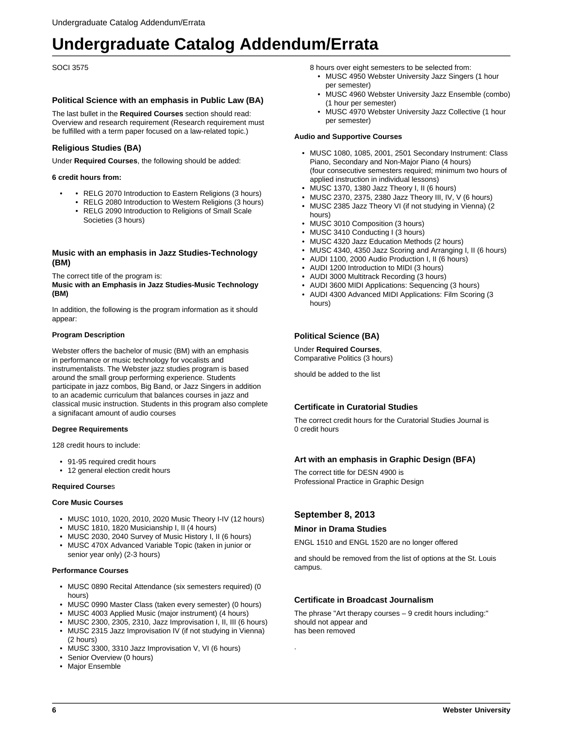SOCI 3575

## **Political Science with an emphasis in Public Law (BA)**

The last bullet in the **Required Courses** section should read: Overview and research requirement (Research requirement must be fulfilled with a term paper focused on a law-related topic.)

# **Religious Studies (BA)**

Under **Required Courses**, the following should be added:

#### **6 credit hours from:**

- RELG 2070 Introduction to Eastern Religions (3 hours)
- RELG 2080 Introduction to Western Religions (3 hours)
- RELG 2090 Introduction to Religions of Small Scale Societies (3 hours)

## **Music with an emphasis in Jazz Studies-Technology (BM)**

The correct title of the program is:

**Music with an Emphasis in Jazz Studies-Music Technology (BM)**

In addition, the following is the program information as it should appear:

#### **Program Description**

Webster offers the bachelor of music (BM) with an emphasis in performance or music technology for vocalists and instrumentalists. The Webster jazz studies program is based around the small group performing experience. Students participate in jazz combos, Big Band, or Jazz Singers in addition to an academic curriculum that balances courses in jazz and classical music instruction. Students in this program also complete a signifacant amount of audio courses

#### **Degree Requirements**

128 credit hours to include:

- 91-95 required credit hours
- 12 general election credit hours

#### **Required Course**s

#### **Core Music Courses**

- MUSC 1010, 1020, 2010, 2020 Music Theory I-IV (12 hours)
- MUSC 1810, 1820 Musicianship I, II (4 hours)
- MUSC 2030, 2040 Survey of Music History I, II (6 hours)
- MUSC 470X Advanced Variable Topic (taken in junior or senior year only) (2-3 hours)

#### **Performance Courses**

- MUSC 0890 Recital Attendance (six semesters required) (0 hours)
- MUSC 0990 Master Class (taken every semester) (0 hours)
- MUSC 4003 Applied Music (major instrument) (4 hours)
- MUSC 2300, 2305, 2310, Jazz Improvisation I, II, III (6 hours) • MUSC 2315 Jazz Improvisation IV (if not studying in Vienna)
- (2 hours)
- MUSC 3300, 3310 Jazz Improvisation V, VI (6 hours)
- Senior Overview (0 hours)
- Major Ensemble

8 hours over eight semesters to be selected from:

- MUSC 4950 Webster University Jazz Singers (1 hour per semester)
- MUSC 4960 Webster University Jazz Ensemble (combo) (1 hour per semester)
- MUSC 4970 Webster University Jazz Collective (1 hour per semester)

#### **Audio and Supportive Courses**

- MUSC 1080, 1085, 2001, 2501 Secondary Instrument: Class Piano, Secondary and Non-Major Piano (4 hours) (four consecutive semesters required; minimum two hours of applied instruction in individual lessons)
- MUSC 1370, 1380 Jazz Theory I, II (6 hours)
- MUSC 2370, 2375, 2380 Jazz Theory III, IV, V (6 hours)
- MUSC 2385 Jazz Theory VI (if not studying in Vienna) (2 hours)
- MUSC 3010 Composition (3 hours)
- MUSC 3410 Conducting I (3 hours)
- MUSC 4320 Jazz Education Methods (2 hours)
- MUSC 4340, 4350 Jazz Scoring and Arranging I, II (6 hours)
- AUDI 1100, 2000 Audio Production I, II (6 hours)
- AUDI 1200 Introduction to MIDI (3 hours)
- AUDI 3000 Multitrack Recording (3 hours)
- AUDI 3600 MIDI Applications: Sequencing (3 hours)
- AUDI 4300 Advanced MIDI Applications: Film Scoring (3 hours)

# **Political Science (BA)**

Under **Required Courses**, Comparative Politics (3 hours)

should be added to the list

# **Certificate in Curatorial Studies**

The correct credit hours for the Curatorial Studies Journal is 0 credit hours

#### **Art with an emphasis in Graphic Design (BFA)**

The correct title for DESN 4900 is Professional Practice in Graphic Design

# **September 8, 2013**

.

# **Minor in Drama Studies**

ENGL 1510 and ENGL 1520 are no longer offered

and should be removed from the list of options at the St. Louis campus.

# **Certificate in Broadcast Journalism**

The phrase "Art therapy courses – 9 credit hours including:" should not appear and has been removed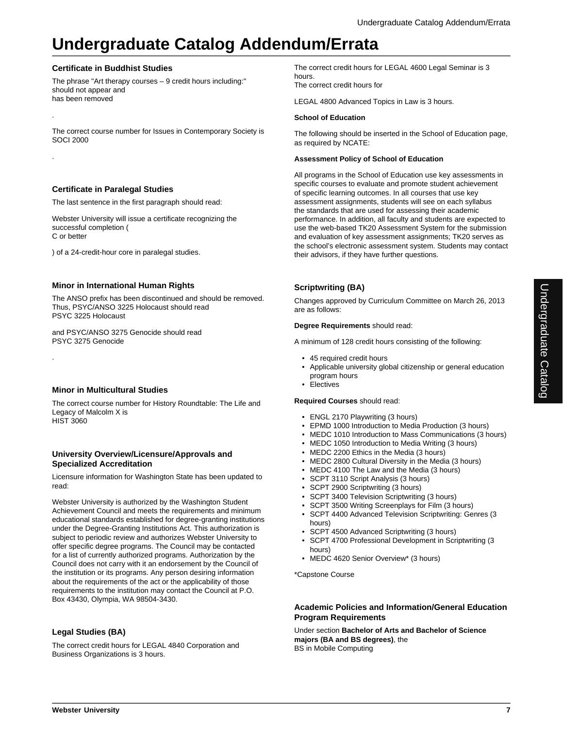# **Certificate in Buddhist Studies**

.

.

.

The phrase "Art therapy courses – 9 credit hours including:" should not appear and has been removed

The correct course number for Issues in Contemporary Society is SOCI 2000

# **Certificate in Paralegal Studies**

The last sentence in the first paragraph should read:

Webster University will issue a certificate recognizing the successful completion ( C or better

) of a 24-credit-hour core in paralegal studies.

# **Minor in International Human Rights**

The ANSO prefix has been discontinued and should be removed. Thus, PSYC/ANSO 3225 Holocaust should read PSYC 3225 Holocaust

and PSYC/ANSO 3275 Genocide should read PSYC 3275 Genocide

# **Minor in Multicultural Studies**

The correct course number for History Roundtable: The Life and Legacy of Malcolm X is **HIST 3060** 

# **University Overview/Licensure/Approvals and Specialized Accreditation**

Licensure information for Washington State has been updated to read:

Webster University is authorized by the Washington Student Achievement Council and meets the requirements and minimum educational standards established for degree-granting institutions under the Degree-Granting Institutions Act. This authorization is subject to periodic review and authorizes Webster University to offer specific degree programs. The Council may be contacted for a list of currently authorized programs. Authorization by the Council does not carry with it an endorsement by the Council of the institution or its programs. Any person desiring information about the requirements of the act or the applicability of those requirements to the institution may contact the Council at P.O. Box 43430, Olympia, WA 98504-3430.

# **Legal Studies (BA)**

The correct credit hours for LEGAL 4840 Corporation and Business Organizations is 3 hours.

The correct credit hours for LEGAL 4600 Legal Seminar is 3 hours. The correct credit hours for

LEGAL 4800 Advanced Topics in Law is 3 hours.

## **School of Education**

The following should be inserted in the School of Education page, as required by NCATE:

### **Assessment Policy of School of Education**

All programs in the School of Education use key assessments in specific courses to evaluate and promote student achievement of specific learning outcomes. In all courses that use key assessment assignments, students will see on each syllabus the standards that are used for assessing their academic performance. In addition, all faculty and students are expected to use the web-based TK20 Assessment System for the submission and evaluation of key assessment assignments; TK20 serves as the school's electronic assessment system. Students may contact their advisors, if they have further questions.

# **Scriptwriting (BA)**

Changes approved by Curriculum Committee on March 26, 2013 are as follows:

### **Degree Requirements** should read:

A minimum of 128 credit hours consisting of the following:

- 45 required credit hours
- Applicable university global citizenship or general education program hours
- Electives

#### **Required Courses** should read:

- ENGL 2170 Playwriting (3 hours)
- EPMD 1000 Introduction to Media Production (3 hours)
- MEDC 1010 Introduction to Mass Communications (3 hours)
- MEDC 1050 Introduction to Media Writing (3 hours)
- MEDC 2200 Ethics in the Media (3 hours)
- MEDC 2800 Cultural Diversity in the Media (3 hours)
- MEDC 4100 The Law and the Media (3 hours)
- SCPT 3110 Script Analysis (3 hours)
- SCPT 2900 Scriptwriting (3 hours)
- SCPT 3400 Television Scriptwriting (3 hours)
- SCPT 3500 Writing Screenplays for Film (3 hours)
- SCPT 4400 Advanced Television Scriptwriting: Genres (3 hours)
- SCPT 4500 Advanced Scriptwriting (3 hours)
- SCPT 4700 Professional Development in Scriptwriting (3 hours)
- MEDC 4620 Senior Overview\* (3 hours)

\*Capstone Course

# **Academic Policies and Information/General Education Program Requirements**

Under section **Bachelor of Arts and Bachelor of Science majors (BA and BS degrees)**, the BS in Mobile Computing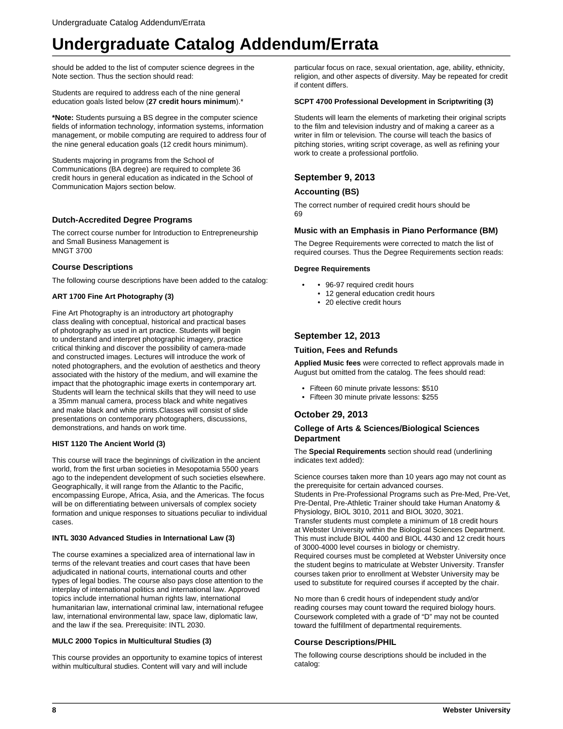should be added to the list of computer science degrees in the Note section. Thus the section should read:

Students are required to address each of the nine general education goals listed below (**27 credit hours minimum**).\*

**\*Note:** Students pursuing a BS degree in the computer science fields of information technology, information systems, information management, or mobile computing are required to address four of the nine general education goals (12 credit hours minimum).

Students majoring in programs from the School of Communications (BA degree) are required to complete 36 credit hours in general education as indicated in the School of Communication Majors section below.

# **Dutch-Accredited Degree Programs**

The correct course number for Introduction to Entrepreneurship and Small Business Management is MNGT 3700

# **Course Descriptions**

The following course descriptions have been added to the catalog:

### **ART 1700 Fine Art Photography (3)**

Fine Art Photography is an introductory art photography class dealing with conceptual, historical and practical bases of photography as used in art practice. Students will begin to understand and interpret photographic imagery, practice critical thinking and discover the possibility of camera-made and constructed images. Lectures will introduce the work of noted photographers, and the evolution of aesthetics and theory associated with the history of the medium, and will examine the impact that the photographic image exerts in contemporary art. Students will learn the technical skills that they will need to use a 35mm manual camera, process black and white negatives and make black and white prints.Classes will consist of slide presentations on contemporary photographers, discussions, demonstrations, and hands on work time.

#### **HIST 1120 The Ancient World (3)**

This course will trace the beginnings of civilization in the ancient world, from the first urban societies in Mesopotamia 5500 years ago to the independent development of such societies elsewhere. Geographically, it will range from the Atlantic to the Pacific, encompassing Europe, Africa, Asia, and the Americas. The focus will be on differentiating between universals of complex society formation and unique responses to situations peculiar to individual cases.

#### **INTL 3030 Advanced Studies in International Law (3)**

The course examines a specialized area of international law in terms of the relevant treaties and court cases that have been adjudicated in national courts, international courts and other types of legal bodies. The course also pays close attention to the interplay of international politics and international law. Approved topics include international human rights law, international humanitarian law, international criminal law, international refugee law, international environmental law, space law, diplomatic law, and the law if the sea. Prerequisite: INTL 2030.

#### **MULC 2000 Topics in Multicultural Studies (3)**

This course provides an opportunity to examine topics of interest within multicultural studies. Content will vary and will include

particular focus on race, sexual orientation, age, ability, ethnicity, religion, and other aspects of diversity. May be repeated for credit if content differs.

#### **SCPT 4700 Professional Development in Scriptwriting (3)**

Students will learn the elements of marketing their original scripts to the film and television industry and of making a career as a writer in film or television. The course will teach the basics of pitching stories, writing script coverage, as well as refining your work to create a professional portfolio.

# **September 9, 2013**

# **Accounting (BS)**

The correct number of required credit hours should be 69

### **Music with an Emphasis in Piano Performance (BM)**

The Degree Requirements were corrected to match the list of required courses. Thus the Degree Requirements section reads:

#### **Degree Requirements**

- 96-97 required credit hours
- 12 general education credit hours
- 20 elective credit hours

# **September 12, 2013**

### **Tuition, Fees and Refunds**

**Applied Music fees** were corrected to reflect approvals made in August but omitted from the catalog. The fees should read:

- Fifteen 60 minute private lessons: \$510
- Fifteen 30 minute private lessons: \$255

# **October 29, 2013**

## **College of Arts & Sciences/Biological Sciences Department**

The **Special Requirements** section should read (underlining indicates text added):

Science courses taken more than 10 years ago may not count as the prerequisite for certain advanced courses. Students in Pre-Professional Programs such as Pre-Med, Pre-Vet, Pre-Dental, Pre-Athletic Trainer should take Human Anatomy & Physiology, BIOL 3010, 2011 and BIOL 3020, 3021. Transfer students must complete a minimum of 18 credit hours at Webster University within the Biological Sciences Department. This must include BIOL 4400 and BIOL 4430 and 12 credit hours of 3000-4000 level courses in biology or chemistry. Required courses must be completed at Webster University once the student begins to matriculate at Webster University. Transfer courses taken prior to enrollment at Webster University may be used to substitute for required courses if accepted by the chair.

No more than 6 credit hours of independent study and/or reading courses may count toward the required biology hours. Coursework completed with a grade of "D" may not be counted toward the fulfillment of departmental requirements.

#### **Course Descriptions/PHIL**

The following course descriptions should be included in the catalog: